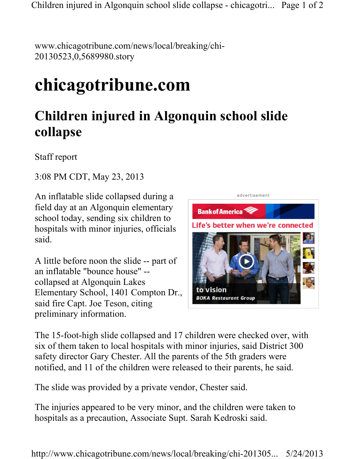Children injured in Algonquin school slide collapse - chicagotri... Page 1 of 2

www.chicagotribune.com/news/local/breaking/chi-20130523,0,5689980.story

## chicagotribune.com

## Children injured in Algonquin school slide collapse

Staff report

3:08 PM CDT, May 23, 2013

An inflatable slide collapsed during a field day at an Algonquin elementary school today, sending six children to hospitals with minor injuries, officials said.

A little before noon the slide -- part of an inflatable "bounce house" - collapsed at Algonquin Lakes Elementary School, 1401 Compton Dr., said fire Capt. Joe Teson, citing preliminary information.



The 15-foot-high slide collapsed and 17 children were checked over, with six of them taken to local hospitals with minor injuries, said District 300 safety director Gary Chester. All the parents of the 5th graders were notified, and 11 of the children were released to their parents, he said.

The slide was provided by a private vendor, Chester said.

The injuries appeared to be very minor, and the children were taken to hospitals as a precaution, Associate Supt. Sarah Kedroski said.

http://www.chicagotribune.com/news/local/breaking/chi-201305... 5/24/2013